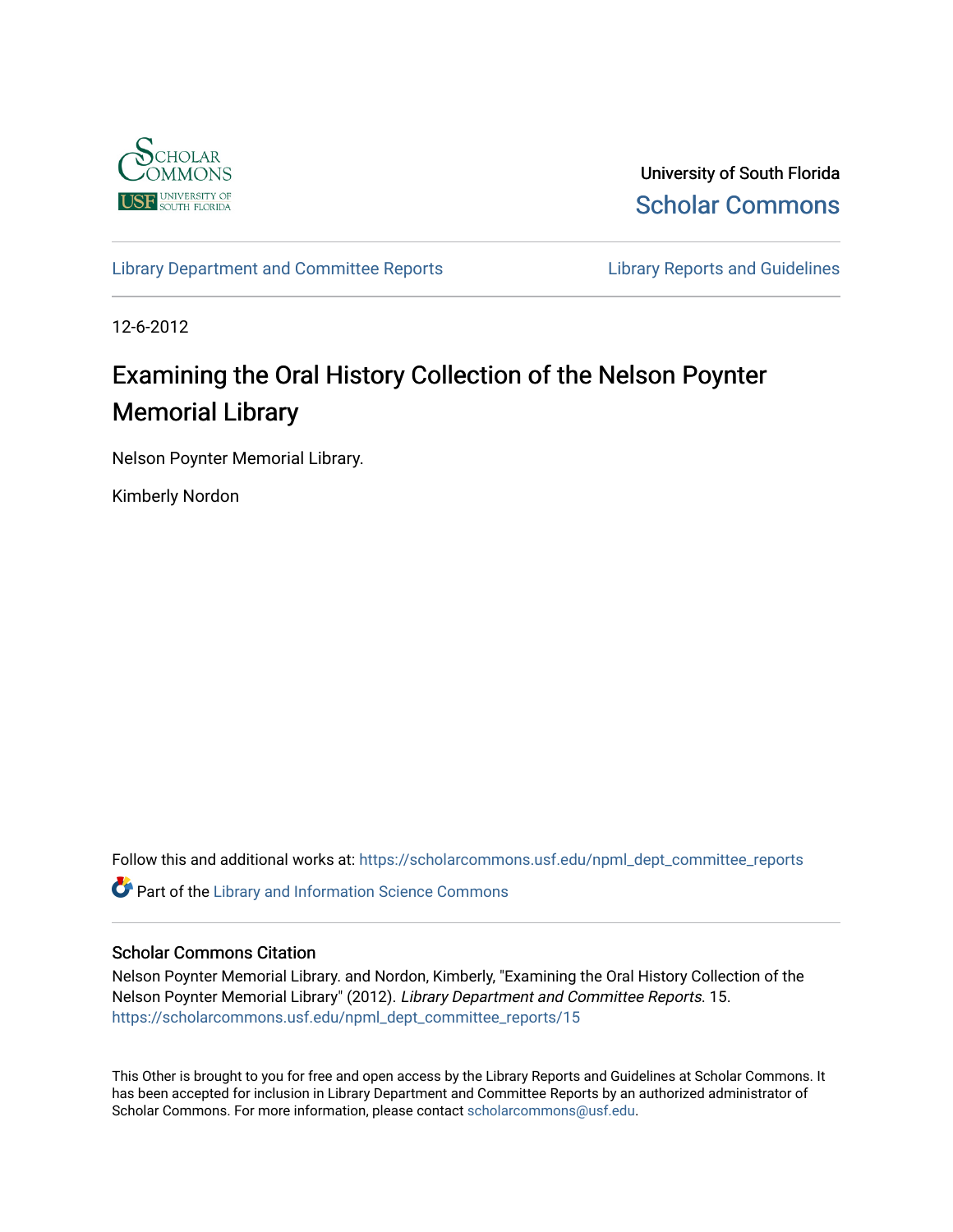

University of South Florida [Scholar Commons](https://scholarcommons.usf.edu/) 

[Library Department and Committee Reports](https://scholarcommons.usf.edu/npml_dept_committee_reports) **Library Reports and Guidelines** 

12-6-2012

## Examining the Oral History Collection of the Nelson Poynter Memorial Library

Nelson Poynter Memorial Library.

Kimberly Nordon

Follow this and additional works at: [https://scholarcommons.usf.edu/npml\\_dept\\_committee\\_reports](https://scholarcommons.usf.edu/npml_dept_committee_reports?utm_source=scholarcommons.usf.edu%2Fnpml_dept_committee_reports%2F15&utm_medium=PDF&utm_campaign=PDFCoverPages)

**C** Part of the Library and Information Science Commons

## Scholar Commons Citation

Nelson Poynter Memorial Library. and Nordon, Kimberly, "Examining the Oral History Collection of the Nelson Poynter Memorial Library" (2012). Library Department and Committee Reports. 15. [https://scholarcommons.usf.edu/npml\\_dept\\_committee\\_reports/15](https://scholarcommons.usf.edu/npml_dept_committee_reports/15?utm_source=scholarcommons.usf.edu%2Fnpml_dept_committee_reports%2F15&utm_medium=PDF&utm_campaign=PDFCoverPages) 

This Other is brought to you for free and open access by the Library Reports and Guidelines at Scholar Commons. It has been accepted for inclusion in Library Department and Committee Reports by an authorized administrator of Scholar Commons. For more information, please contact [scholarcommons@usf.edu](mailto:scholarcommons@usf.edu).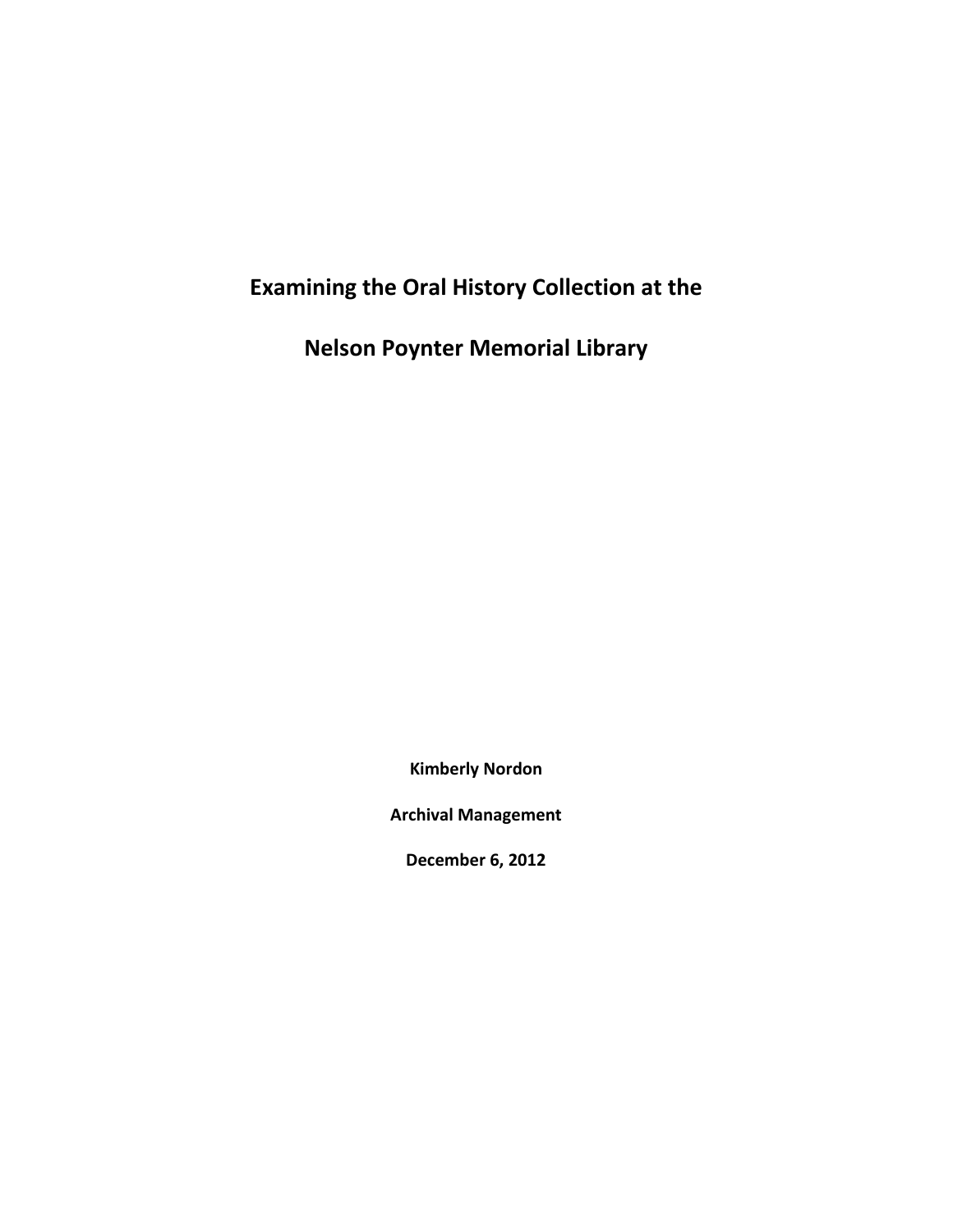## **Examining the Oral History Collection at the**

**Nelson Poynter Memorial Library**

**Kimberly Nordon**

**Archival Management**

**December 6, 2012**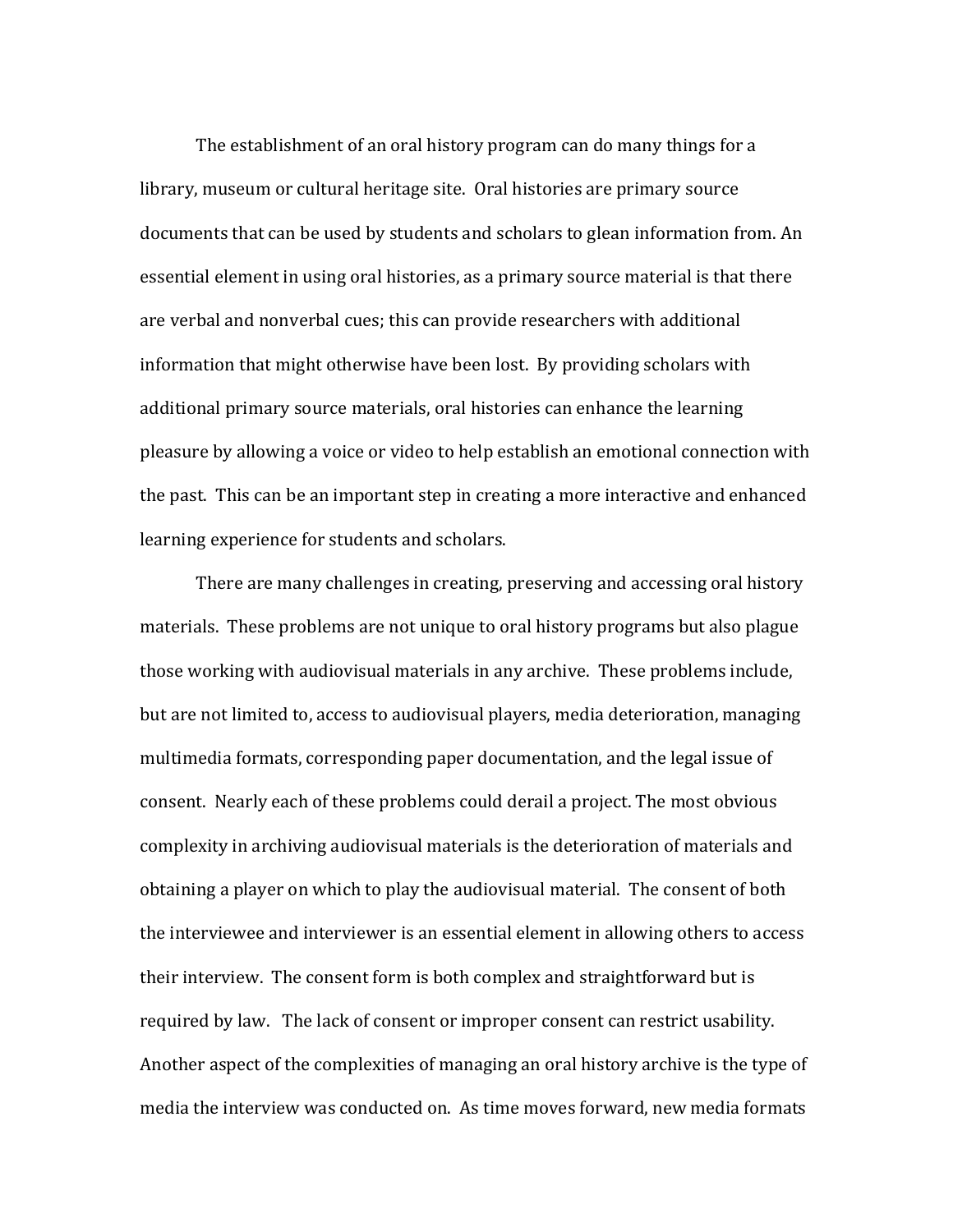The establishment of an oral history program can do many things for a library, museum or cultural heritage site. Oral histories are primary source documents that can be used by students and scholars to glean information from. An essential element in using oral histories, as a primary source material is that there are verbal and nonverbal cues; this can provide researchers with additional information that might otherwise have been lost. By providing scholars with additional primary source materials, oral histories can enhance the learning pleasure by allowing a voice or video to help establish an emotional connection with the past. This can be an important step in creating a more interactive and enhanced learning experience for students and scholars.

There are many challenges in creating, preserving and accessing oral history materials. These problems are not unique to oral history programs but also plague those working with audiovisual materials in any archive. These problems include, but are not limited to, access to audiovisual players, media deterioration, managing multimedia formats, corresponding paper documentation, and the legal issue of consent. Nearly each of these problems could derail a project. The most obvious complexity in archiving audiovisual materials is the deterioration of materials and obtaining a player on which to play the audiovisual material. The consent of both the interviewee and interviewer is an essential element in allowing others to access their interview. The consent form is both complex and straightforward but is required by law. The lack of consent or improper consent can restrict usability. Another aspect of the complexities of managing an oral history archive is the type of media the interview was conducted on. As time moves forward, new media formats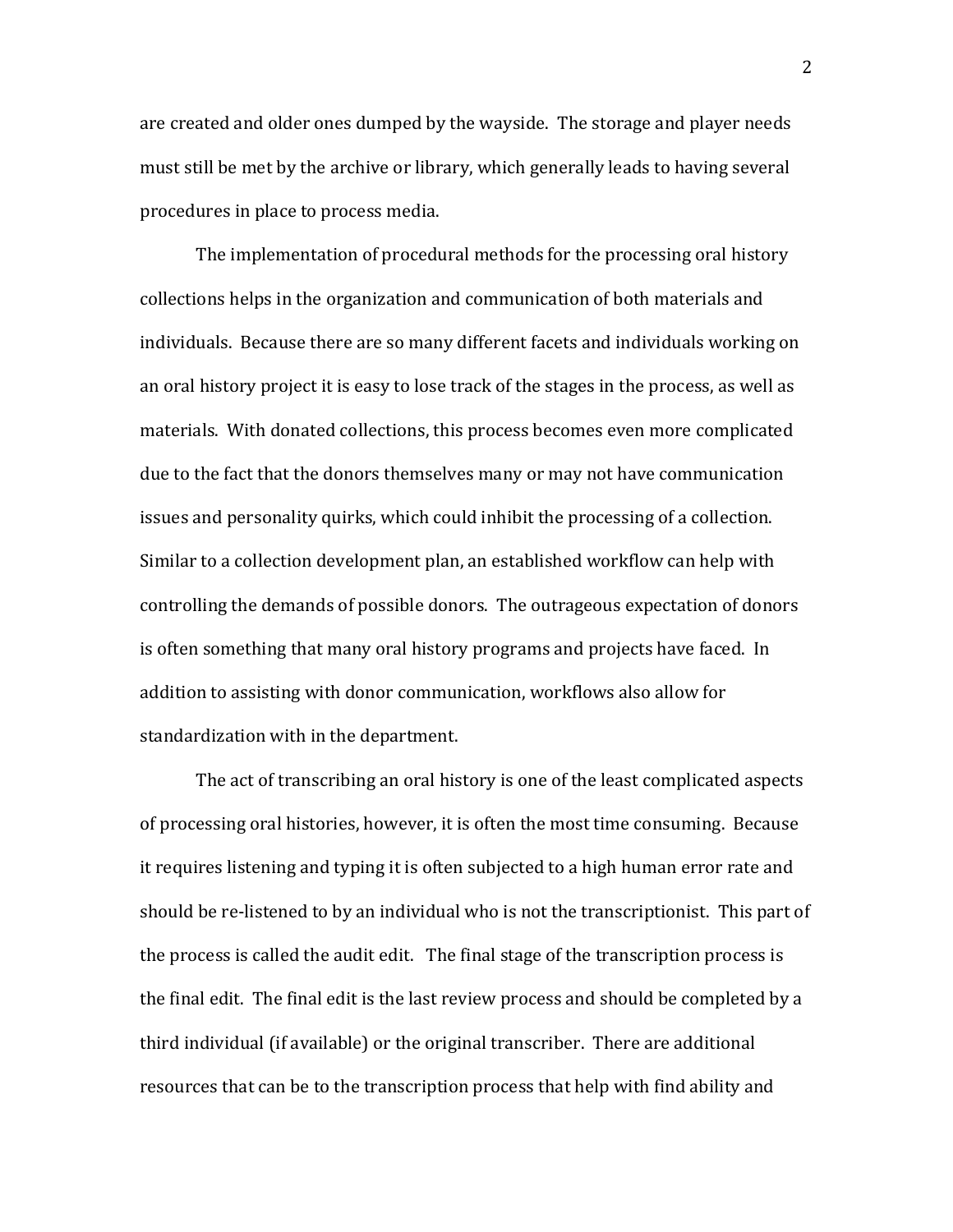are created and older ones dumped by the wayside. The storage and player needs must still be met by the archive or library, which generally leads to having several procedures in place to process media.

The implementation of procedural methods for the processing oral history collections helps in the organization and communication of both materials and individuals. Because there are so many different facets and individuals working on an oral history project it is easy to lose track of the stages in the process, as well as materials. With donated collections, this process becomes even more complicated due to the fact that the donors themselves many or may not have communication issues and personality quirks, which could inhibit the processing of a collection. Similar to a collection development plan, an established workflow can help with controlling the demands of possible donors. The outrageous expectation of donors is often something that many oral history programs and projects have faced. In addition to assisting with donor communication, workflows also allow for standardization with in the department.

 The act of transcribing an oral history is one of the least complicated aspects of processing oral histories, however, it is often the most time consuming. Because it requires listening and typing it is often subjected to a high human error rate and should be re‐listened to by an individual who is not the transcriptionist. This part of the process is called the audit edit. The final stage of the transcription process is the final edit. The final edit is the last review process and should be completed by a third individual (if available) or the original transcriber. There are additional resources that can be to the transcription process that help with find ability and

2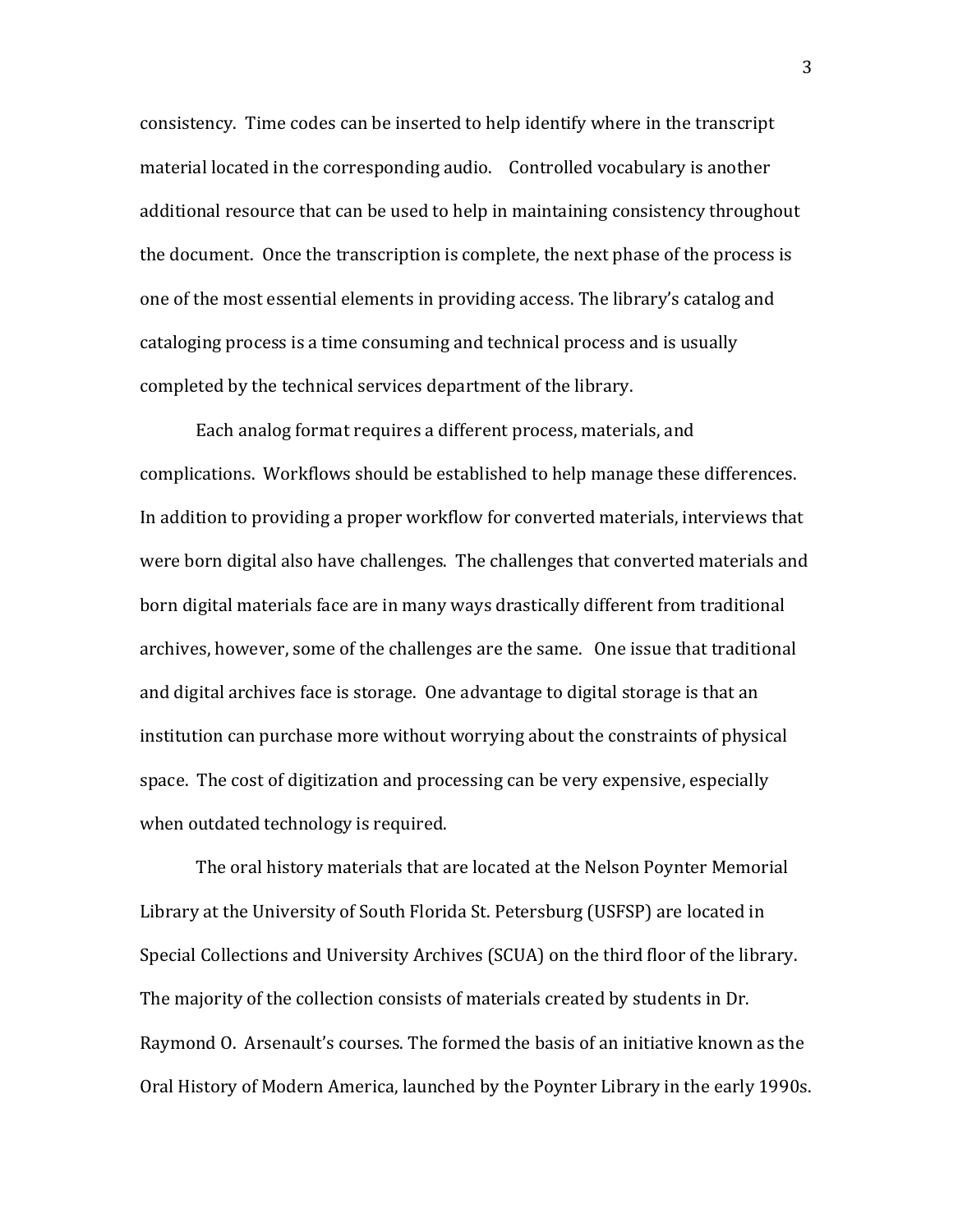consistency. Time codes can be inserted to help identify where in the transcript material located in the corresponding audio. Controlled vocabulary is another additional resource that can be used to help in maintaining consistency throughout the document. Once the transcription is complete, the next phase of the process is one of the most essential elements in providing access. The library's catalog and cataloging process is a time consuming and technical process and is usually completed by the technical services department of the library.

 Each analog format requires a different process, materials, and complications. Workflows should be established to help manage these differences. In addition to providing a proper workflow for converted materials, interviews that were born digital also have challenges. The challenges that converted materials and born digital materials face are in many ways drastically different from traditional archives, however, some of the challenges are the same. One issue that traditional and digital archives face is storage. One advantage to digital storage is that an institution can purchase more without worrying about the constraints of physical space. The cost of digitization and processing can be very expensive, especially when outdated technology is required.

The oral history materials that are located at the Nelson Poynter Memorial Library at the University of South Florida St. Petersburg (USFSP) are located in Special Collections and University Archives (SCUA) on the third floor of the library. The majority of the collection consists of materials created by students in Dr. Raymond O. Arsenault's courses. The formed the basis of an initiative known as the Oral History of Modern America, launched by the Poynter Library in the early 1990s.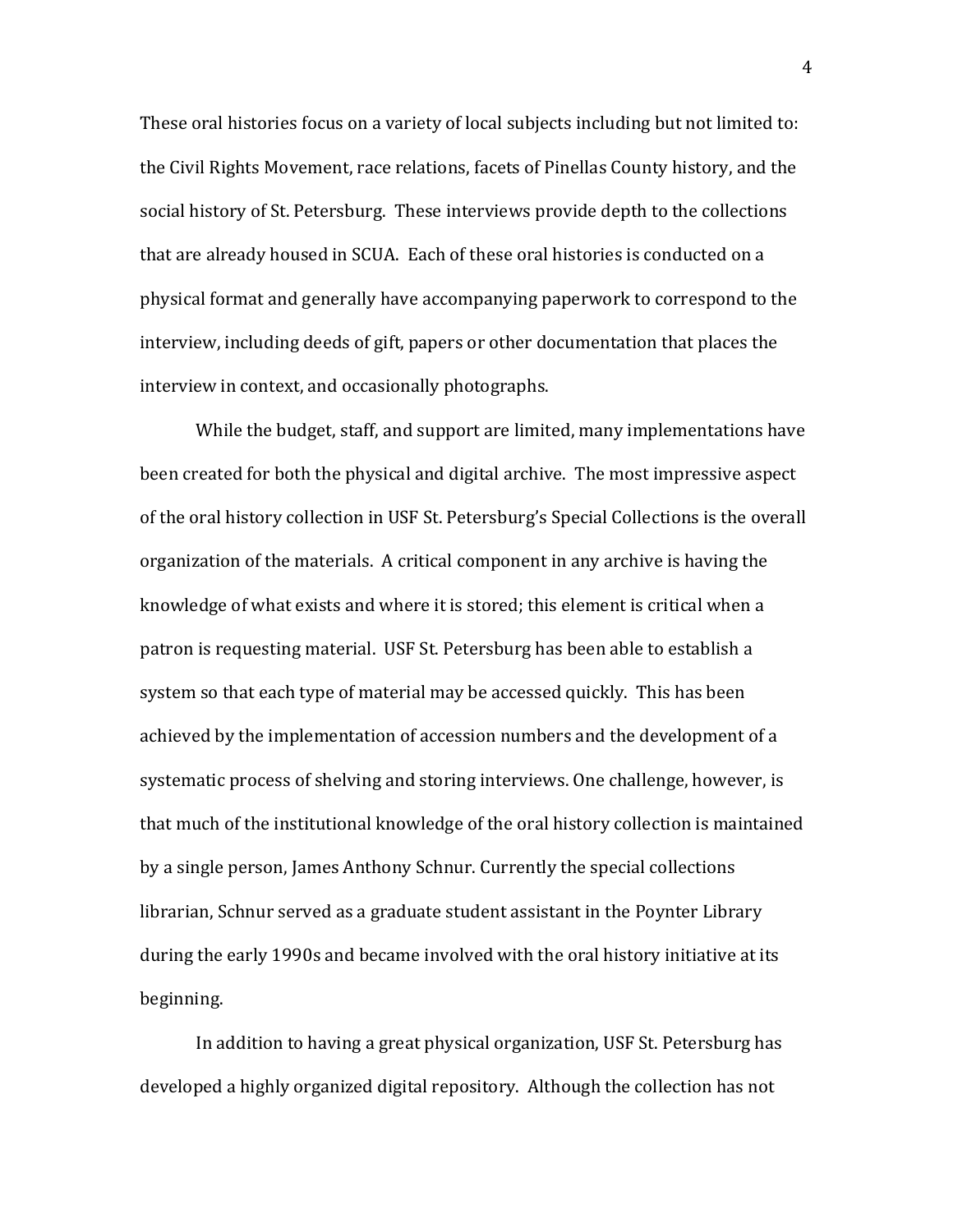These oral histories focus on a variety of local subjects including but not limited to: the Civil Rights Movement, race relations, facets of Pinellas County history, and the social history of St. Petersburg. These interviews provide depth to the collections that are already housed in SCUA. Each of these oral histories is conducted on a physical format and generally have accompanying paperwork to correspond to the interview, including deeds of gift, papers or other documentation that places the interview in context, and occasionally photographs.

 While the budget, staff, and support are limited, many implementations have been created for both the physical and digital archive. The most impressive aspect of the oral history collection in USF St. Petersburg's Special Collections is the overall organization of the materials. A critical component in any archive is having the knowledge of what exists and where it is stored; this element is critical when a patron is requesting material. USF St. Petersburg has been able to establish a system so that each type of material may be accessed quickly. This has been achieved by the implementation of accession numbers and the development of a systematic process of shelving and storing interviews. One challenge, however, is that much of the institutional knowledge of the oral history collection is maintained by a single person, James Anthony Schnur. Currently the special collections librarian, Schnur served as a graduate student assistant in the Poynter Library during the early 1990s and became involved with the oral history initiative at its beginning.

 In addition to having a great physical organization, USF St. Petersburg has developed a highly organized digital repository. Although the collection has not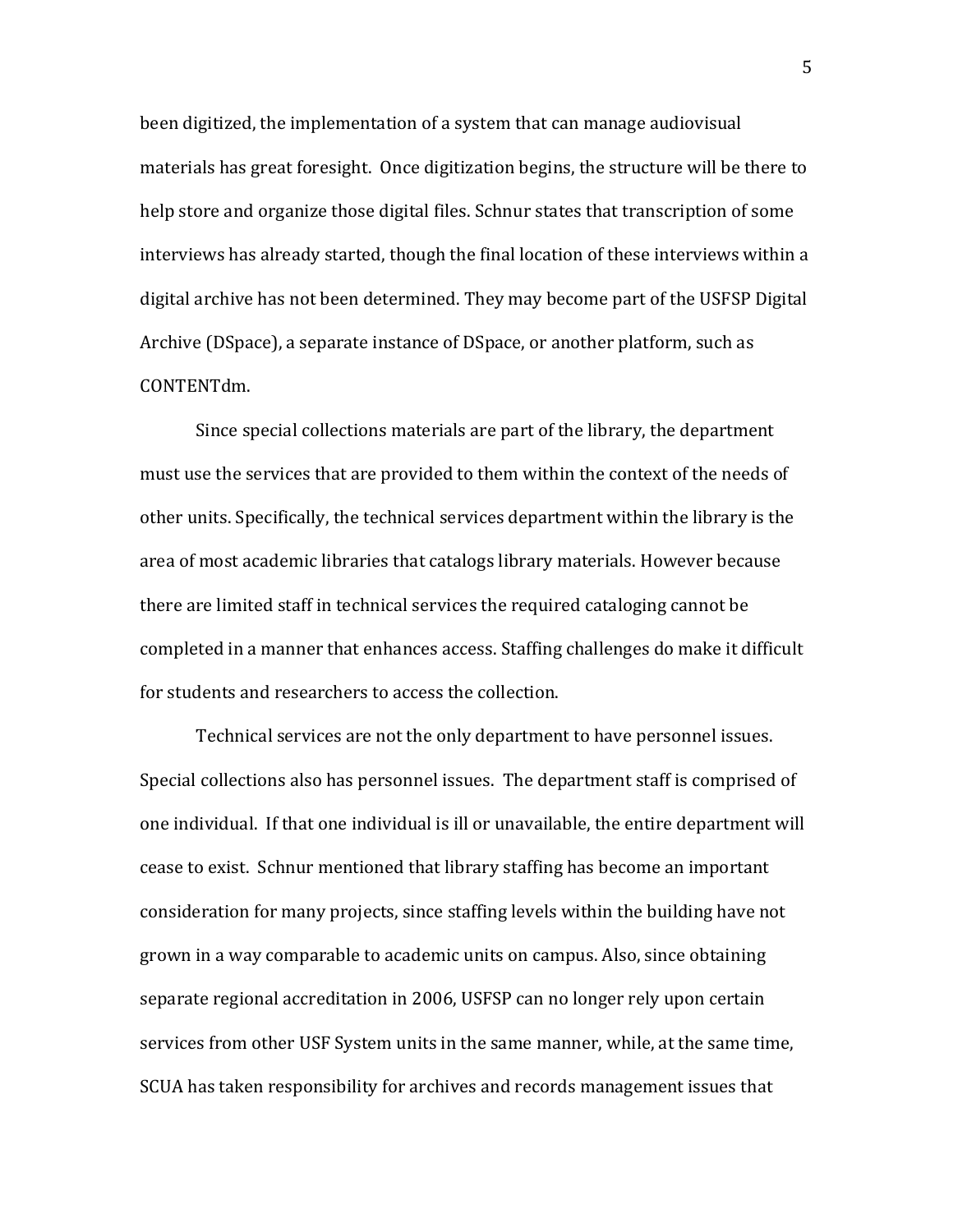been digitized, the implementation of a system that can manage audiovisual materials has great foresight. Once digitization begins, the structure will be there to help store and organize those digital files. Schnur states that transcription of some interviews has already started, though the final location of these interviews within a digital archive has not been determined. They may become part of the USFSP Digital Archive (DSpace), a separate instance of DSpace, or another platform, such as CONTENTdm.

 Since special collections materials are part of the library, the department must use the services that are provided to them within the context of the needs of other units. Specifically, the technical services department within the library is the area of most academic libraries that catalogs library materials. However because there are limited staff in technical services the required cataloging cannot be completed in a manner that enhances access. Staffing challenges do make it difficult for students and researchers to access the collection.

Technical services are not the only department to have personnel issues. Special collections also has personnel issues. The department staff is comprised of one individual. If that one individual is ill or unavailable, the entire department will cease to exist. Schnur mentioned that library staffing has become an important consideration for many projects, since staffing levels within the building have not grown in a way comparable to academic units on campus. Also, since obtaining separate regional accreditation in 2006, USFSP can no longer rely upon certain services from other USF System units in the same manner, while, at the same time, SCUA has taken responsibility for archives and records management issues that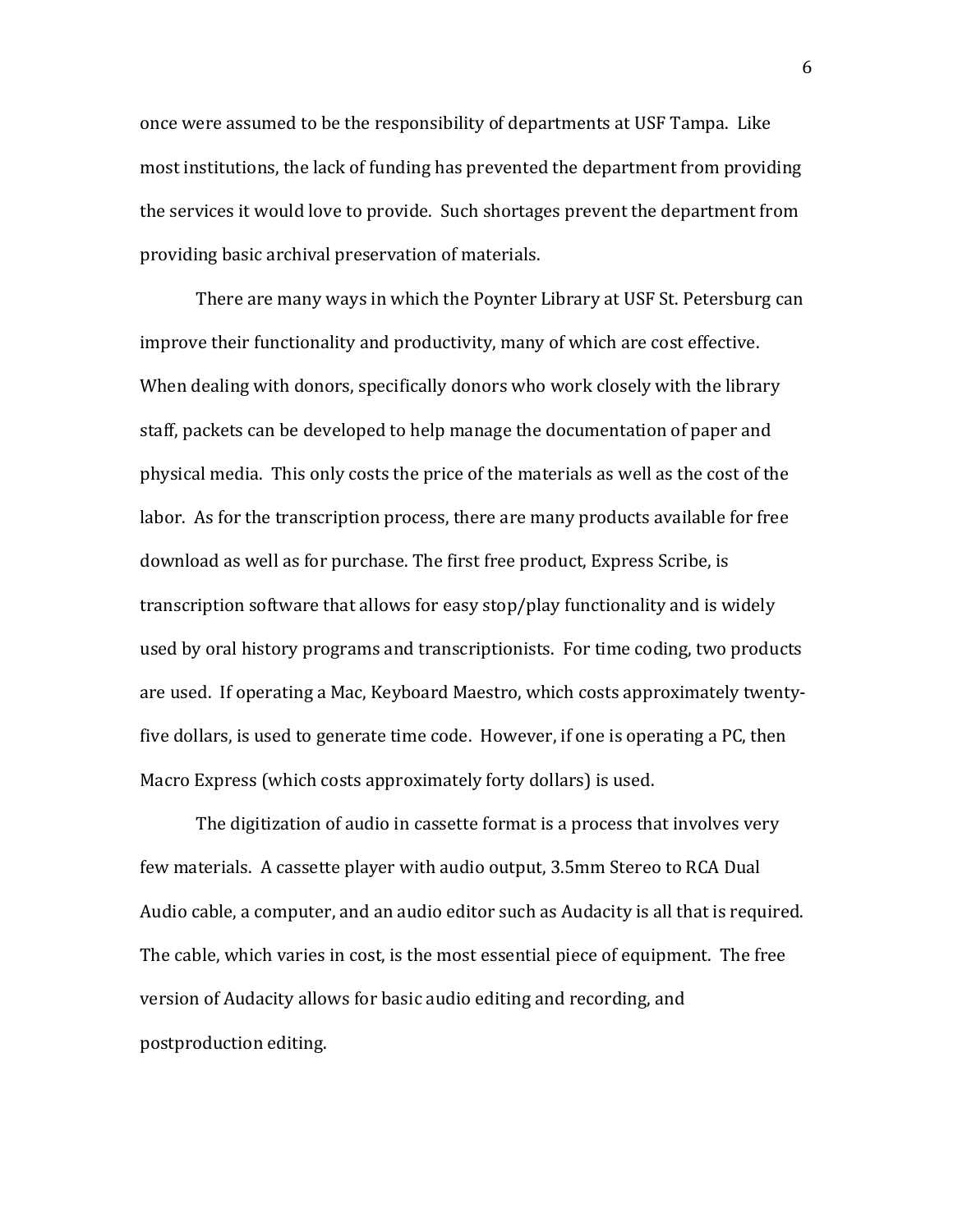once were assumed to be the responsibility of departments at USF Tampa. Like most institutions, the lack of funding has prevented the department from providing the services it would love to provide. Such shortages prevent the department from providing basic archival preservation of materials.

There are many ways in which the Poynter Library at USF St. Petersburg can improve their functionality and productivity, many of which are cost effective. When dealing with donors, specifically donors who work closely with the library staff, packets can be developed to help manage the documentation of paper and physical media. This only costs the price of the materials as well as the cost of the labor. As for the transcription process, there are many products available for free download as well as for purchase. The first free product, Express Scribe, is transcription software that allows for easy stop/play functionality and is widely used by oral history programs and transcriptionists. For time coding, two products are used. If operating a Mac, Keyboard Maestro, which costs approximately twenty‐ five dollars, is used to generate time code. However, if one is operating a PC, then Macro Express (which costs approximately forty dollars) is used.

The digitization of audio in cassette format is a process that involves very few materials. A cassette player with audio output, 3.5mm Stereo to RCA Dual Audio cable, a computer, and an audio editor such as Audacity is all that is required. The cable, which varies in cost, is the most essential piece of equipment. The free version of Audacity allows for basic audio editing and recording, and postproduction editing.

6